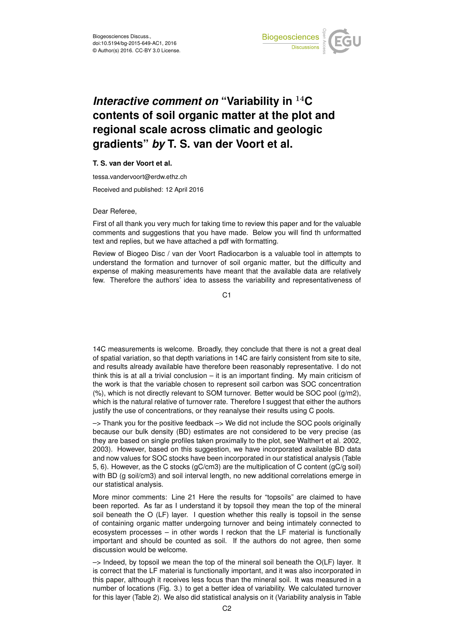

## *Interactive comment on* **"Variability in** <sup>14</sup>**C contents of soil organic matter at the plot and regional scale across climatic and geologic gradients"** *by* **T. S. van der Voort et al.**

## **T. S. van der Voort et al.**

tessa.vandervoort@erdw.ethz.ch

Received and published: 12 April 2016

## Dear Referee,

First of all thank you very much for taking time to review this paper and for the valuable comments and suggestions that you have made. Below you will find th unformatted text and replies, but we have attached a pdf with formatting.

Review of Biogeo Disc / van der Voort Radiocarbon is a valuable tool in attempts to understand the formation and turnover of soil organic matter, but the difficulty and expense of making measurements have meant that the available data are relatively few. Therefore the authors' idea to assess the variability and representativeness of

C<sub>1</sub>

14C measurements is welcome. Broadly, they conclude that there is not a great deal of spatial variation, so that depth variations in 14C are fairly consistent from site to site, and results already available have therefore been reasonably representative. I do not think this is at all a trivial conclusion – it is an important finding. My main criticism of the work is that the variable chosen to represent soil carbon was SOC concentration (%), which is not directly relevant to SOM turnover. Better would be SOC pool (g/m2), which is the natural relative of turnover rate. Therefore I suggest that either the authors justify the use of concentrations, or they reanalyse their results using C pools.

 $\rightarrow$  Thank you for the positive feedback  $\rightarrow$  We did not include the SOC pools originally because our bulk density (BD) estimates are not considered to be very precise (as they are based on single profiles taken proximally to the plot, see Walthert et al. 2002, 2003). However, based on this suggestion, we have incorporated available BD data and now values for SOC stocks have been incorporated in our statistical analysis (Table 5, 6). However, as the C stocks (gC/cm3) are the multiplication of C content (gC/g soil) with BD (g soil/cm3) and soil interval length, no new additional correlations emerge in our statistical analysis.

More minor comments: Line 21 Here the results for "topsoils" are claimed to have been reported. As far as I understand it by topsoil they mean the top of the mineral soil beneath the O (LF) layer. I question whether this really is topsoil in the sense of containing organic matter undergoing turnover and being intimately connected to ecosystem processes – in other words I reckon that the LF material is functionally important and should be counted as soil. If the authors do not agree, then some discussion would be welcome.

 $\rightarrow$  Indeed, by topsoil we mean the top of the mineral soil beneath the O(LF) layer. It is correct that the LF material is functionally important, and it was also incorporated in this paper, although it receives less focus than the mineral soil. It was measured in a number of locations (Fig. 3.) to get a better idea of variability. We calculated turnover for this layer (Table 2). We also did statistical analysis on it (Variability analysis in Table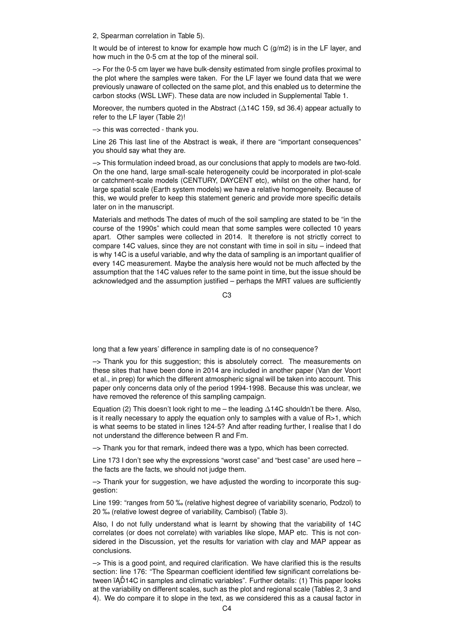2, Spearman correlation in Table 5).

It would be of interest to know for example how much C  $(g/m2)$  is in the LF layer, and how much in the 0-5 cm at the top of the mineral soil.

–> For the 0-5 cm layer we have bulk-density estimated from single profiles proximal to the plot where the samples were taken. For the LF layer we found data that we were previously unaware of collected on the same plot, and this enabled us to determine the carbon stocks (WSL LWF). These data are now included in Supplemental Table 1.

Moreover, the numbers quoted in the Abstract (∆14C 159, sd 36.4) appear actually to refer to the LF layer (Table 2)!

–> this was corrected - thank you.

Line 26 This last line of the Abstract is weak, if there are "important consequences" you should say what they are.

–> This formulation indeed broad, as our conclusions that apply to models are two-fold. On the one hand, large small-scale heterogeneity could be incorporated in plot-scale or catchment-scale models (CENTURY, DAYCENT etc), whilst on the other hand, for large spatial scale (Earth system models) we have a relative homogeneity. Because of this, we would prefer to keep this statement generic and provide more specific details later on in the manuscript.

Materials and methods The dates of much of the soil sampling are stated to be "in the course of the 1990s" which could mean that some samples were collected 10 years apart. Other samples were collected in 2014. It therefore is not strictly correct to compare 14C values, since they are not constant with time in soil in situ – indeed that is why 14C is a useful variable, and why the data of sampling is an important qualifier of every 14C measurement. Maybe the analysis here would not be much affected by the assumption that the 14C values refer to the same point in time, but the issue should be acknowledged and the assumption justified – perhaps the MRT values are sufficiently

 $C3$ 

long that a few years' difference in sampling date is of no consequence?

 $\rightarrow$  Thank you for this suggestion; this is absolutely correct. The measurements on these sites that have been done in 2014 are included in another paper (Van der Voort et al., in prep) for which the different atmospheric signal will be taken into account. This paper only concerns data only of the period 1994-1998. Because this was unclear, we have removed the reference of this sampling campaign.

Equation (2) This doesn't look right to me – the leading  $\Delta$ 14C shouldn't be there. Also, is it really necessary to apply the equation only to samples with a value of  $R>1$ , which is what seems to be stated in lines 124-5? And after reading further, I realise that I do not understand the difference between R and Fm.

–> Thank you for that remark, indeed there was a typo, which has been corrected.

Line 173 I don't see why the expressions "worst case" and "best case" are used here – the facts are the facts, we should not judge them.

 $\rightarrow$  Thank your for suggestion, we have adjusted the wording to incorporate this suggestion:

Line 199: "ranges from 50 ‰ (relative highest degree of variability scenario, Podzol) to 20 ‰ (relative lowest degree of variability, Cambisol) (Table 3).

Also, I do not fully understand what is learnt by showing that the variability of 14C correlates (or does not correlate) with variables like slope, MAP etc. This is not considered in the Discussion, yet the results for variation with clay and MAP appear as conclusions.

 $\rightarrow$  This is a good point, and required clarification. We have clarified this is the results section: line 176: "The Spearman coefficient identified few significant correlations between  $\tilde{A}$ D14C in samples and climatic variables". Further details: (1) This paper looks at the variability on different scales, such as the plot and regional scale (Tables 2, 3 and 4). We do compare it to slope in the text, as we considered this as a causal factor in